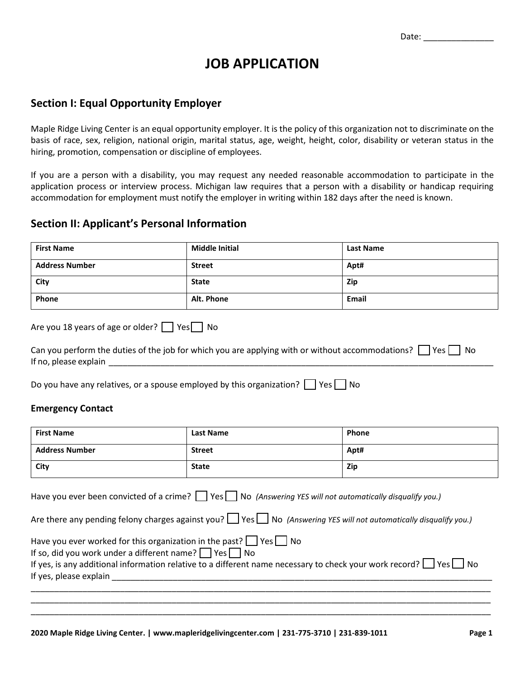# **JOB APPLICATION**

#### **Section I: Equal Opportunity Employer**

Maple Ridge Living Center is an equal opportunity employer. It is the policy of this organization not to discriminate on the basis of race, sex, religion, national origin, marital status, age, weight, height, color, disability or veteran status in the hiring, promotion, compensation or discipline of employees.

If you are a person with a disability, you may request any needed reasonable accommodation to participate in the application process or interview process. Michigan law requires that a person with a disability or handicap requiring accommodation for employment must notify the employer in writing within 182 days after the need is known.

#### **Section II: Applicant's Personal Information**

| <b>First Name</b>     | <b>Middle Initial</b> | <b>Last Name</b> |
|-----------------------|-----------------------|------------------|
| <b>Address Number</b> | <b>Street</b>         | Apt#             |
| City                  | <b>State</b>          | Zip              |
| Phone                 | Alt. Phone            | Email            |

| Are you 18 years of age or older? $\Box$ Yes $\Box$ No |  |  |  |  |
|--------------------------------------------------------|--|--|--|--|
|--------------------------------------------------------|--|--|--|--|

| Can you perform the duties of the job for which you are applying with or without accommodations? $\Box$ Yes $\Box$ No |  |
|-----------------------------------------------------------------------------------------------------------------------|--|
| If no, please explain                                                                                                 |  |

| Do you have any relatives, or a spouse employed by this organization? $\Box$ Yes $\Box$ No |  |
|--------------------------------------------------------------------------------------------|--|
|                                                                                            |  |

#### **Emergency Contact**

| <b>First Name</b>                                                                                                                                                          | <b>Last Name</b>                                                                                                                                                                                                                                      | Phone |
|----------------------------------------------------------------------------------------------------------------------------------------------------------------------------|-------------------------------------------------------------------------------------------------------------------------------------------------------------------------------------------------------------------------------------------------------|-------|
| <b>Address Number</b>                                                                                                                                                      | <b>Street</b>                                                                                                                                                                                                                                         | Apt#  |
| City                                                                                                                                                                       | <b>State</b>                                                                                                                                                                                                                                          | Zip   |
|                                                                                                                                                                            | Have you ever been convicted of a crime? $\Box$ Yes $\Box$ No (Answering YES will not automatically disqualify you.)<br>Are there any pending felony charges against you? $\Box$ Yes $\Box$ No (Answering YES will not automatically disqualify you.) |       |
| Have you ever worked for this organization in the past? $\Box$ Yes $\Box$ No<br>If so, did you work under a different name? $\Box$ Yes $\Box$ No<br>If yes, please explain | If yes, is any additional information relative to a different name necessary to check your work record? $\Box$ Yes $\Box$ No                                                                                                                          |       |

\_\_\_\_\_\_\_\_\_\_\_\_\_\_\_\_\_\_\_\_\_\_\_\_\_\_\_\_\_\_\_\_\_\_\_\_\_\_\_\_\_\_\_\_\_\_\_\_\_\_\_\_\_\_\_\_\_\_\_\_\_\_\_\_\_\_\_\_\_\_\_\_\_\_\_\_\_\_\_\_\_\_\_\_\_\_\_\_\_\_\_\_\_\_\_\_\_\_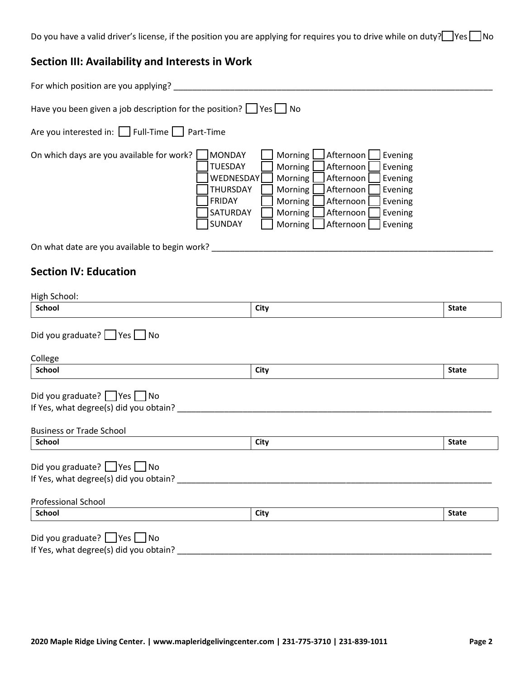Do you have a valid driver's license, if the position you are applying for requires you to drive while on duty?  $\Box$  Yes  $\Box$  No

# **Section III: Availability and Interests in Work**

| For which position are you applying?                                                                                                                                                                                                                                                                                                                                                                           |
|----------------------------------------------------------------------------------------------------------------------------------------------------------------------------------------------------------------------------------------------------------------------------------------------------------------------------------------------------------------------------------------------------------------|
| Have you been given a job description for the position? $\Box$ Yes $\Box$ No<br>Are you interested in:   Full-Time Part-Time                                                                                                                                                                                                                                                                                   |
| <b>MONDAY</b><br>Afternoon<br>On which days are you available for work?<br>Morning<br>Evening<br>TUESDAY<br>Morning<br>Afternoon<br>Evening<br>WEDNESDAY<br>Morning<br>Evening<br>Afternoon<br><b>THURSDAY</b><br>Morning<br>Afternoon<br>Evening<br>FRIDAY<br>Morning<br>Afternoon<br>Evening<br>SATURDAY<br><b>Morning</b><br>Afternoon<br>Evening<br>SUNDAY<br>Afternoon<br>Morning <sup>1</sup><br>Evening |
| On what date are you available to begin work?                                                                                                                                                                                                                                                                                                                                                                  |

## **Section IV: Education**

| <b>School</b>                                                                                                   | <b>City</b> | <b>State</b> |
|-----------------------------------------------------------------------------------------------------------------|-------------|--------------|
|                                                                                                                 |             |              |
| Did you graduate? $\Box$ Yes $\Box$ No                                                                          |             |              |
| College                                                                                                         |             |              |
| <b>School</b>                                                                                                   | <b>City</b> | <b>State</b> |
|                                                                                                                 |             |              |
|                                                                                                                 |             |              |
|                                                                                                                 |             |              |
|                                                                                                                 |             |              |
|                                                                                                                 |             |              |
| Did you graduate? Pes No<br>If Yes, what degree(s) did you obtain?<br><b>Business or Trade School</b><br>School | <b>City</b> | <b>State</b> |
|                                                                                                                 |             |              |
|                                                                                                                 |             |              |
| Did you graduate? Ves No<br>If Yes, what degree(s) did you obtain? _____                                        |             |              |
|                                                                                                                 |             |              |
| <b>Professional School</b>                                                                                      |             |              |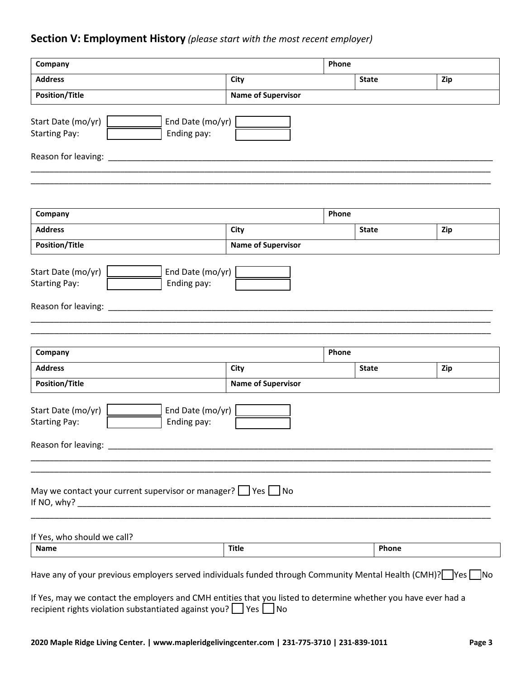# **Section V: Employment History** *(please start with the most recent employer)*

| Company                                                           |                                                                                                                                                                                                                                                                                                                    | Phone                     |       |              |     |
|-------------------------------------------------------------------|--------------------------------------------------------------------------------------------------------------------------------------------------------------------------------------------------------------------------------------------------------------------------------------------------------------------|---------------------------|-------|--------------|-----|
| <b>Address</b>                                                    |                                                                                                                                                                                                                                                                                                                    | City                      |       | <b>State</b> | Zip |
| <b>Position/Title</b>                                             |                                                                                                                                                                                                                                                                                                                    | <b>Name of Supervisor</b> |       |              |     |
| Start Date (mo/yr)<br><b>Starting Pay:</b>                        | End Date (mo/yr)<br>Ending pay:                                                                                                                                                                                                                                                                                    |                           |       |              |     |
| Reason for leaving:                                               |                                                                                                                                                                                                                                                                                                                    |                           |       |              |     |
| Company                                                           |                                                                                                                                                                                                                                                                                                                    |                           | Phone |              |     |
| <b>Address</b>                                                    |                                                                                                                                                                                                                                                                                                                    | City                      |       | <b>State</b> | Zip |
| <b>Position/Title</b>                                             |                                                                                                                                                                                                                                                                                                                    | <b>Name of Supervisor</b> |       |              |     |
| Start Date (mo/yr)<br><b>Starting Pay:</b><br>Reason for leaving: | End Date (mo/yr)<br>Ending pay:                                                                                                                                                                                                                                                                                    |                           |       |              |     |
| Company                                                           |                                                                                                                                                                                                                                                                                                                    |                           | Phone |              |     |
| <b>Address</b>                                                    |                                                                                                                                                                                                                                                                                                                    | City                      |       | <b>State</b> | Zip |
| <b>Position/Title</b>                                             |                                                                                                                                                                                                                                                                                                                    | <b>Name of Supervisor</b> |       |              |     |
| Start Date (mo/yr)<br><b>Starting Pay:</b>                        | End Date (mo/yr)<br>Ending pay:                                                                                                                                                                                                                                                                                    |                           |       |              |     |
| Reason for leaving:                                               |                                                                                                                                                                                                                                                                                                                    |                           |       |              |     |
|                                                                   | May we contact your current supervisor or manager? $\Box$ Yes $\Box$ No                                                                                                                                                                                                                                            |                           |       |              |     |
| If Yes, who should we call?                                       |                                                                                                                                                                                                                                                                                                                    |                           |       |              |     |
| <b>Name</b>                                                       |                                                                                                                                                                                                                                                                                                                    | <b>Title</b>              |       | Phone        |     |
|                                                                   | Have any of your previous employers served individuals funded through Community Mental Health (CMH)? Pes $\Box$ No<br>If Yes, may we contact the employers and CMH entities that you listed to determine whether you have ever had a<br>recipient rights violation substantiated against you? $\Box$ Yes $\Box$ No |                           |       |              |     |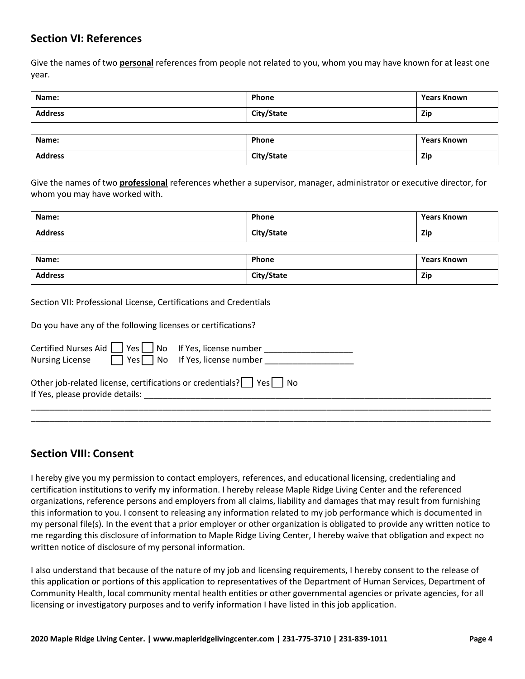## **Section VI: References**

Give the names of two **personal** references from people not related to you, whom you may have known for at least one year.

| Name:          | Phone      | <b>Years Known</b> |
|----------------|------------|--------------------|
| <b>Address</b> | City/State | <b>Zip</b>         |
|                |            |                    |

| Name:          | Phone      | <b>Years Known</b> |
|----------------|------------|--------------------|
| <b>Address</b> | City/State | <b>Zip</b>         |

Give the names of two **professional** references whether a supervisor, manager, administrator or executive director, for whom you may have worked with.

| Name:          | Phone      | <b>Years Known</b> |
|----------------|------------|--------------------|
| <b>Address</b> | City/State | <b>Zip</b>         |

| Name:          | Phone      | Years Known |
|----------------|------------|-------------|
| <b>Address</b> | City/State | <b>Zip</b>  |

Section VII: Professional License, Certifications and Credentials

| Do you have any of the following licenses or certifications?                                                                    |
|---------------------------------------------------------------------------------------------------------------------------------|
| Certified Nurses Aid $\Box$ Yes $\Box$ No If Yes, license number<br>Nursing License $\Box$ Yes $\Box$ No If Yes, license number |
| Other job-related license, certifications or credentials? $\Box$ Yes $\Box$ No<br>If Yes, please provide details:               |

\_\_\_\_\_\_\_\_\_\_\_\_\_\_\_\_\_\_\_\_\_\_\_\_\_\_\_\_\_\_\_\_\_\_\_\_\_\_\_\_\_\_\_\_\_\_\_\_\_\_\_\_\_\_\_\_\_\_\_\_\_\_\_\_\_\_\_\_\_\_\_\_\_\_\_\_\_\_\_\_\_\_\_\_\_\_\_\_\_\_\_\_\_\_\_\_\_\_

## **Section VIII: Consent**

I hereby give you my permission to contact employers, references, and educational licensing, credentialing and certification institutions to verify my information. I hereby release Maple Ridge Living Center and the referenced organizations, reference persons and employers from all claims, liability and damages that may result from furnishing this information to you. I consent to releasing any information related to my job performance which is documented in my personal file(s). In the event that a prior employer or other organization is obligated to provide any written notice to me regarding this disclosure of information to Maple Ridge Living Center, I hereby waive that obligation and expect no written notice of disclosure of my personal information.

I also understand that because of the nature of my job and licensing requirements, I hereby consent to the release of this application or portions of this application to representatives of the Department of Human Services, Department of Community Health, local community mental health entities or other governmental agencies or private agencies, for all licensing or investigatory purposes and to verify information I have listed in this job application.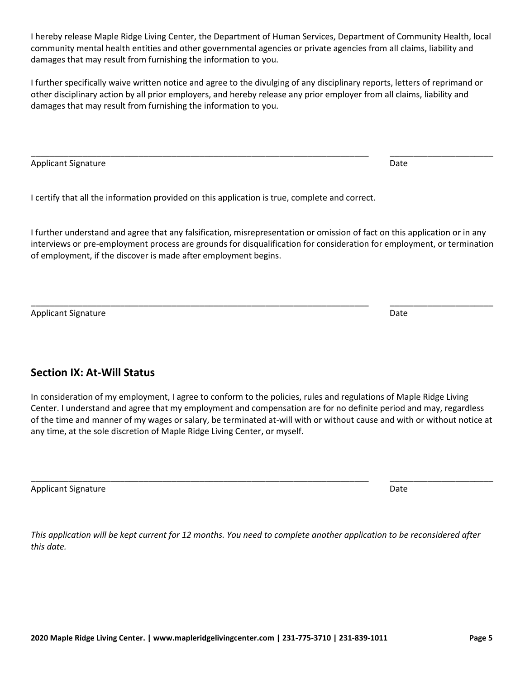I hereby release Maple Ridge Living Center, the Department of Human Services, Department of Community Health, local community mental health entities and other governmental agencies or private agencies from all claims, liability and damages that may result from furnishing the information to you.

I further specifically waive written notice and agree to the divulging of any disciplinary reports, letters of reprimand or other disciplinary action by all prior employers, and hereby release any prior employer from all claims, liability and damages that may result from furnishing the information to you.

\_\_\_\_\_\_\_\_\_\_\_\_\_\_\_\_\_\_\_\_\_\_\_\_\_\_\_\_\_\_\_\_\_\_\_\_\_\_\_\_\_\_\_\_\_\_\_\_\_\_\_\_\_\_\_\_\_\_\_\_\_\_\_\_\_\_\_\_\_\_\_\_ \_\_\_\_\_\_\_\_\_\_\_\_\_\_\_\_\_\_\_\_\_\_

Applicant Signature Date Date of the Date of the Date of the Date of the Date of the Date of the Date of the Date of the Date of the Date of the Date of the Date of the Date of the Date of the Date of the Date of the Date

I certify that all the information provided on this application is true, complete and correct.

I further understand and agree that any falsification, misrepresentation or omission of fact on this application or in any interviews or pre-employment process are grounds for disqualification for consideration for employment, or termination of employment, if the discover is made after employment begins.

Applicant Signature Date Date of the Date of the Date of the Date of the Date of the Date of the Date of the D

# **Section IX: At-Will Status**

In consideration of my employment, I agree to conform to the policies, rules and regulations of Maple Ridge Living Center. I understand and agree that my employment and compensation are for no definite period and may, regardless of the time and manner of my wages or salary, be terminated at-will with or without cause and with or without notice at any time, at the sole discretion of Maple Ridge Living Center, or myself.

\_\_\_\_\_\_\_\_\_\_\_\_\_\_\_\_\_\_\_\_\_\_\_\_\_\_\_\_\_\_\_\_\_\_\_\_\_\_\_\_\_\_\_\_\_\_\_\_\_\_\_\_\_\_\_\_\_\_\_\_\_\_\_\_\_\_\_\_\_\_\_\_ \_\_\_\_\_\_\_\_\_\_\_\_\_\_\_\_\_\_\_\_\_\_

Applicant Signature Date Date of the Date of the Date of the Date of the Date of the Date of the Date of the Date of the Date of the Date of the Date of the Date of the Date of the Date of the Date of the Date of the Date

*This application will be kept current for 12 months. You need to complete another application to be reconsidered after this date.*

\_\_\_\_\_\_\_\_\_\_\_\_\_\_\_\_\_\_\_\_\_\_\_\_\_\_\_\_\_\_\_\_\_\_\_\_\_\_\_\_\_\_\_\_\_\_\_\_\_\_\_\_\_\_\_\_\_\_\_\_\_\_\_\_\_\_\_\_\_\_\_\_ \_\_\_\_\_\_\_\_\_\_\_\_\_\_\_\_\_\_\_\_\_\_